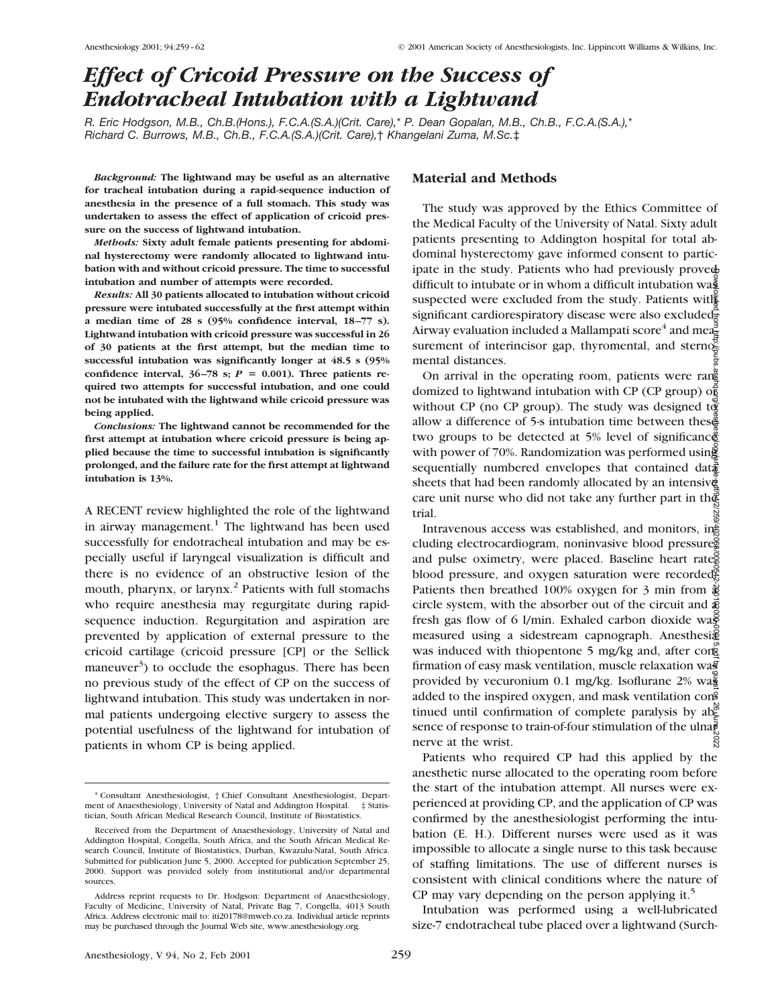# *Effect of Cricoid Pressure on the Success of Endotracheal Intubation with a Lightwand*

*R. Eric Hodgson, M.B., Ch.B.(Hons.), F.C.A.(S.A.)(Crit. Care),*\* *P. Dean Gopalan, M.B., Ch.B., F.C.A.(S.A.),*\* *Richard C. Burrows, M.B., Ch.B., F.C.A.(S.A.)(Crit. Care),*† *Khangelani Zuma, M.Sc.*‡

*Background:* **The lightwand may be useful as an alternative for tracheal intubation during a rapid-sequence induction of anesthesia in the presence of a full stomach. This study was undertaken to assess the effect of application of cricoid pressure on the success of lightwand intubation.**

*Methods:* **Sixty adult female patients presenting for abdominal hysterectomy were randomly allocated to lightwand intubation with and without cricoid pressure. The time to successful intubation and number of attempts were recorded.**

*Results:* **All 30 patients allocated to intubation without cricoid pressure were intubated successfully at the first attempt within a median time of 28 s (95% confidence interval, 18–77 s). Lightwand intubation with cricoid pressure was successful in 26 of 30 patients at the first attempt, but the median time to successful intubation was significantly longer at 48.5 s (95%** confidence interval,  $36-78$  s;  $P = 0.001$ ). Three patients re**quired two attempts for successful intubation, and one could not be intubated with the lightwand while cricoid pressure was being applied.**

*Conclusions:* **The lightwand cannot be recommended for the first attempt at intubation where cricoid pressure is being applied because the time to successful intubation is significantly prolonged, and the failure rate for the first attempt at lightwand intubation is 13%.**

A RECENT review highlighted the role of the lightwand in airway management.<sup>1</sup> The lightwand has been used successfully for endotracheal intubation and may be especially useful if laryngeal visualization is difficult and there is no evidence of an obstructive lesion of the mouth, pharynx, or larynx.<sup>2</sup> Patients with full stomachs who require anesthesia may regurgitate during rapidsequence induction. Regurgitation and aspiration are prevented by application of external pressure to the cricoid cartilage (cricoid pressure [CP] or the Sellick maneuver<sup>3</sup>) to occlude the esophagus. There has been no previous study of the effect of CP on the success of lightwand intubation. This study was undertaken in normal patients undergoing elective surgery to assess the potential usefulness of the lightwand for intubation of patients in whom CP is being applied.

# **Material and Methods**

The study was approved by the Ethics Committee of the Medical Faculty of the University of Natal. Sixty adult patients presenting to Addington hospital for total abdominal hysterectomy gave informed consent to participate in the study. Patients who had previously proved difficult to intubate or in whom a difficult intubation was suspected were excluded from the study. Patients with significant cardiorespiratory disease were also excluded. Airway evaluation included a Mallampati score<sup>4</sup> and mea $\frac{3}{2}$ surement of interincisor gap, thyromental, and sternomental distances.

On arrival in the operating room, patients were ranged domized to lightwand intubation with CP (CP group) of without CP (no CP group). The study was designed to allow a difference of 5-s intubation time between thes $\frac{a}{2}$ two groups to be detected at 5% level of significance with power of 70%. Randomization was performed using sequentially numbered envelopes that contained data sheets that had been randomly allocated by an intensive care unit nurse who did not take any further part in the trial.

Intravenous access was established, and monitors, in $\tilde{\mathbb{B}}$ cluding electrocardiogram, noninvasive blood pressure. and pulse oximetry, were placed. Baseline heart rates blood pressure, and oxygen saturation were recorded. Patients then breathed 100% oxygen for 3 min from  $\frac{3}{6}$ circle system, with the absorber out of the circuit and  $\vec{x}$ fresh gas flow of 6 l/min. Exhaled carbon dioxide was measured using a sidestream capnograph. Anesthesi $\frac{2}{3}$ was induced with thiopentone  $5 \text{ mg/kg}$  and, after con $\frac{3}{5}$ firmation of easy mask ventilation, muscle relaxation was provided by vecuronium 0.1 mg/kg. Isoflurane 2% was added to the inspired oxygen, and mask ventilation  $\cos^2$ tinued until confirmation of complete paralysis by  $ab\tilde{e}$ sence of response to train-of-four stimulation of the ulnard nerve at the wrist. Downloaded from http://pubs.asahq.org/anesthesiology/article-pdf/94/2/259/402068/0000542-200102000-00015.pdf by guest on 26 June 2022

Patients who required CP had this applied by the anesthetic nurse allocated to the operating room before the start of the intubation attempt. All nurses were experienced at providing CP, and the application of CP was confirmed by the anesthesiologist performing the intubation (E. H.). Different nurses were used as it was impossible to allocate a single nurse to this task because of staffing limitations. The use of different nurses is consistent with clinical conditions where the nature of CP may vary depending on the person applying it.<sup>5</sup>

Intubation was performed using a well-lubricated size-7 endotracheal tube placed over a lightwand (Surch-

<sup>\*</sup> Consultant Anesthesiologist, † Chief Consultant Anesthesiologist, Department of Anaesthesiology, University of Natal and Addington Hospital.  $\#$  Statistician, South African Medical Research Council, Institute of Biostatistics.

Received from the Department of Anaesthesiology, University of Natal and Addington Hospital, Congella, South Africa, and the South African Medical Research Council, Institute of Biostatistics, Durban, Kwazulu-Natal, South Africa. Submitted for publication June 5, 2000. Accepted for publication September 25, 2000. Support was provided solely from institutional and/or departmental sources.

Address reprint requests to Dr. Hodgson: Department of Anaesthesiology, Faculty of Medicine, University of Natal, Private Bag 7, Congella, 4013 South Africa. Address electronic mail to: iti20178@mweb.co.za. Individual article reprints may be purchased through the Journal Web site, www.anesthesiology.org.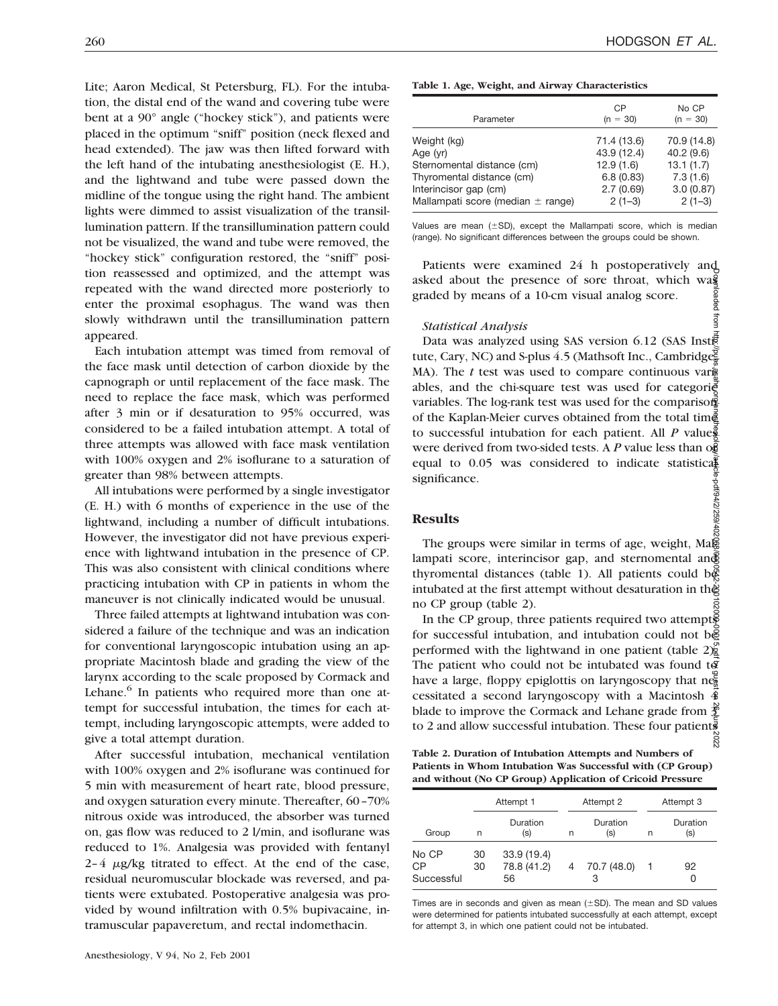Lite; Aaron Medical, St Petersburg, FL). For the intubation, the distal end of the wand and covering tube were bent at a 90° angle ("hockey stick"), and patients were placed in the optimum "sniff" position (neck flexed and head extended). The jaw was then lifted forward with the left hand of the intubating anesthesiologist (E. H.), and the lightwand and tube were passed down the midline of the tongue using the right hand. The ambient lights were dimmed to assist visualization of the transillumination pattern. If the transillumination pattern could not be visualized, the wand and tube were removed, the "hockey stick" configuration restored, the "sniff" position reassessed and optimized, and the attempt was repeated with the wand directed more posteriorly to enter the proximal esophagus. The wand was then slowly withdrawn until the transillumination pattern appeared.

Each intubation attempt was timed from removal of the face mask until detection of carbon dioxide by the capnograph or until replacement of the face mask. The need to replace the face mask, which was performed after 3 min or if desaturation to 95% occurred, was considered to be a failed intubation attempt. A total of three attempts was allowed with face mask ventilation with 100% oxygen and 2% isoflurane to a saturation of greater than 98% between attempts.

All intubations were performed by a single investigator (E. H.) with 6 months of experience in the use of the lightwand, including a number of difficult intubations. However, the investigator did not have previous experience with lightwand intubation in the presence of CP. This was also consistent with clinical conditions where practicing intubation with CP in patients in whom the maneuver is not clinically indicated would be unusual.

Three failed attempts at lightwand intubation was considered a failure of the technique and was an indication for conventional laryngoscopic intubation using an appropriate Macintosh blade and grading the view of the larynx according to the scale proposed by Cormack and Lehane.<sup>6</sup> In patients who required more than one attempt for successful intubation, the times for each attempt, including laryngoscopic attempts, were added to give a total attempt duration.

After successful intubation, mechanical ventilation with 100% oxygen and 2% isoflurane was continued for 5 min with measurement of heart rate, blood pressure, and oxygen saturation every minute. Thereafter, 60–70% nitrous oxide was introduced, the absorber was turned on, gas flow was reduced to 2 l/min, and isoflurane was reduced to 1%. Analgesia was provided with fentanyl  $2-4 \mu g/kg$  titrated to effect. At the end of the case, residual neuromuscular blockade was reversed, and patients were extubated. Postoperative analgesia was provided by wound infiltration with 0.5% bupivacaine, intramuscular papaveretum, and rectal indomethacin.

Hon

#### **Table 1. Age, Weight, and Airway Characteristics**

| Parameter                             | CP<br>$(n = 30)$ | No CP<br>$(n = 30)$ |
|---------------------------------------|------------------|---------------------|
| Weight (kg)                           | 71.4 (13.6)      | 70.9 (14.8)         |
| Age (yr)                              | 43.9 (12.4)      | 40.2(9.6)           |
| Sternomental distance (cm)            | 12.9(1.6)        | 13.1(1.7)           |
| Thyromental distance (cm)             | 6.8(0.83)        | 7.3(1.6)            |
| Interincisor gap (cm)                 | 2.7(0.69)        | 3.0(0.87)           |
| Mallampati score (median $\pm$ range) | $2(1-3)$         | $2(1-3)$            |

Values are mean  $(\pm SD)$ , except the Mallampati score, which is median (range). No significant differences between the groups could be shown.

Patients were examined 24 h postoperatively and asked about the presence of sore throat, which was loaded graded by means of a 10-cm visual analog score.

### *Statistical Analysis*

Downloaded from http://pubs.asahq.org/anesthesiology/article-pdf/94/2/259/402068/0000542-200102000-00015.pdf by guest on 26 June 2022Data was analyzed using SAS version  $6.12$  (SAS Instigtute, Cary, NC) and S-plus 4.5 (Mathsoft Inc., Cambridge MA). The  $t$  test was used to compare continuous variance ables, and the chi-square test was used for categori $\vec{e}$ variables. The log-rank test was used for the comparison of the Kaplan-Meier curves obtained from the total time to successful intubation for each patient. All  $P$  values were derived from two-sided tests. A *P* value less than or equal to 0.05 was considered to indicate statistical significance. le-pdf/94/2/259/40

### **Results**

The groups were similar in terms of age, weight, Mallampati score, interincisor gap, and sternomental and thyromental distances (table 1). All patients could  $b\ddot{\phi}$ intubated at the first attempt without desaturation in the no CP group (table 2).

In the CP group, three patients required two attempts for successful intubation, and intubation could not be performed with the lightwand in one patient (table  $2\frac{1}{2}$ ). The patient who could not be intubated was found  $t\bar{g}$ have a large, floppy epiglottis on laryngoscopy that  $n\bar{e}$ cessitated a second laryngoscopy with a Macintosh 4 blade to improve the Cormack and Lehane grade from  $\ddot{\mathcal{F}}$ to 2 and allow successful intubation. These four patients

**Table 2. Duration of Intubation Attempts and Numbers of Patients in Whom Intubation Was Successful with (CP Group) and without (No CP Group) Application of Cricoid Pressure**

|                           | Attempt 1 |                                  |   | Attempt 2        |   | Attempt 3       |  |
|---------------------------|-----------|----------------------------------|---|------------------|---|-----------------|--|
| Group                     | n         | Duration<br>(s)                  | n | Duration<br>(s)  | n | Duration<br>(s) |  |
| No CP<br>СP<br>Successful | 30<br>30  | 33.9 (19.4)<br>78.8 (41.2)<br>56 |   | 70.7 (48.0)<br>3 |   | 92<br>0         |  |

Times are in seconds and given as mean  $(\pm SD)$ . The mean and SD values were determined for patients intubated successfully at each attempt, except for attempt 3, in which one patient could not be intubated.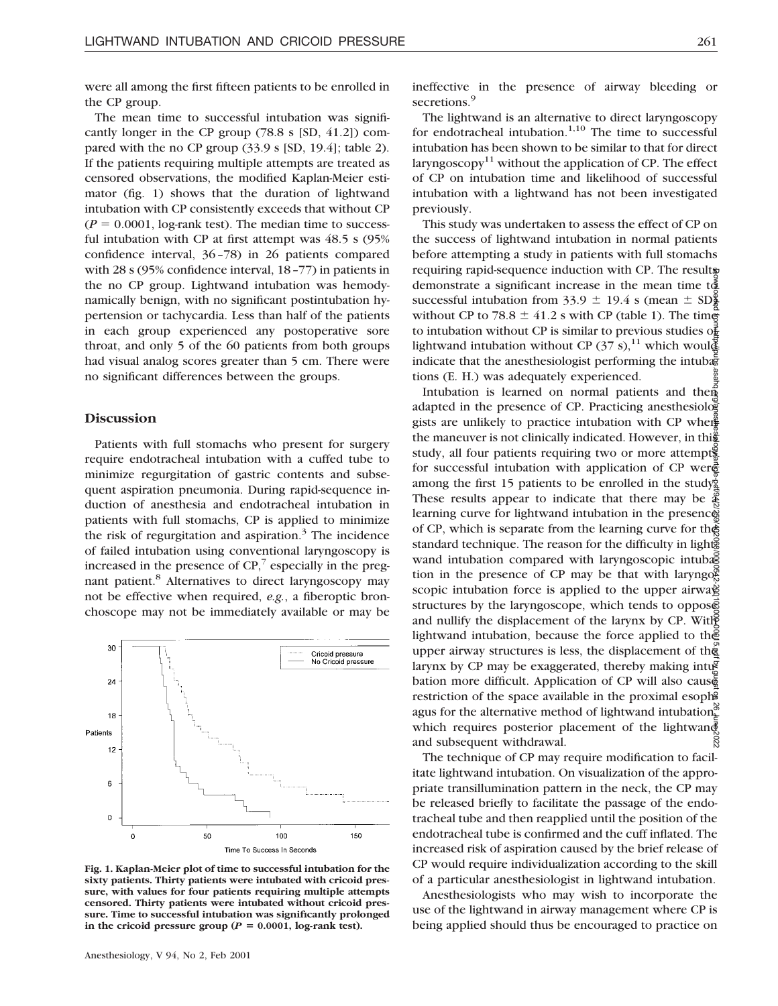were all among the first fifteen patients to be enrolled in the CP group.

The mean time to successful intubation was significantly longer in the CP group (78.8 s [SD, 41.2]) compared with the no CP group (33.9 s [SD, 19.4]; table 2). If the patients requiring multiple attempts are treated as censored observations, the modified Kaplan-Meier estimator (fig. 1) shows that the duration of lightwand intubation with CP consistently exceeds that without CP  $(P = 0.0001, \text{log-rank test})$ . The median time to successful intubation with CP at first attempt was 48.5 s (95% confidence interval, 36–78) in 26 patients compared with 28 s (95% confidence interval, 18–77) in patients in the no CP group. Lightwand intubation was hemodynamically benign, with no significant postintubation hypertension or tachycardia. Less than half of the patients in each group experienced any postoperative sore throat, and only 5 of the 60 patients from both groups had visual analog scores greater than 5 cm. There were no significant differences between the groups.

# **Discussion**

Patients with full stomachs who present for surgery require endotracheal intubation with a cuffed tube to minimize regurgitation of gastric contents and subsequent aspiration pneumonia. During rapid-sequence induction of anesthesia and endotracheal intubation in patients with full stomachs, CP is applied to minimize the risk of regurgitation and aspiration.<sup>3</sup> The incidence of failed intubation using conventional laryngoscopy is increased in the presence of  $CP<sub>1</sub><sup>7</sup>$  especially in the pregnant patient.<sup>8</sup> Alternatives to direct laryngoscopy may not be effective when required, *e.g.*, a fiberoptic bronchoscope may not be immediately available or may be



**Fig. 1. Kaplan-Meier plot of time to successful intubation for the sixty patients. Thirty patients were intubated with cricoid pressure, with values for four patients requiring multiple attempts censored. Thirty patients were intubated without cricoid pressure. Time to successful intubation was significantly prolonged** in the cricoid pressure group ( $P = 0.0001$ , log-rank test).

ineffective in the presence of airway bleeding or secretions.<sup>9</sup>

The lightwand is an alternative to direct laryngoscopy for endotracheal intubation. $1,10$  The time to successful intubation has been shown to be similar to that for direct laryngos $\text{copy}^{11}$  without the application of CP. The effect of CP on intubation time and likelihood of successful intubation with a lightwand has not been investigated previously.

This study was undertaken to assess the effect of CP on the success of lightwand intubation in normal patients before attempting a study in patients with full stomachs requiring rapid-sequence induction with CP. The results demonstrate a significant increase in the mean time to successful intubation from  $33.9 \pm 19.4$  s (mean  $\pm$  SD) without CP to 78.8  $\pm$  41.2 s with CP (table 1). The time to intubation without CP is similar to previous studies of lightwand intubation without CP (37 s), <sup>11</sup> which would indicate that the anesthesiologist performing the intuba $\frac{1}{2}$ tions (E. H.) was adequately experienced.

Downloaded from http://pubs.asahq.org/anesthesiology/article-pdf/94/2/259/402068/0000542-200102000-00015.pdf by guest on 26 June 2022Intubation is learned on normal patients and then adapted in the presence of CP. Practicing anesthesiology gists are unlikely to practice intubation with CP when the maneuver is not clinically indicated. However, in this study, all four patients requiring two or more attempt. for successful intubation with application of CP were among the first 15 patients to be enrolled in the study. These results appear to indicate that there may be learning curve for lightwand intubation in the presence of CP, which is separate from the learning curve for the standard technique. The reason for the difficulty in lightwand intubation compared with laryngoscopic intuba tion in the presence of  $CP$  may be that with laryngoscopic intubation force is applied to the upper airway structures by the laryngoscope, which tends to oppose and nullify the displacement of the larynx by CP. With lightwand intubation, because the force applied to the upper airway structures is less, the displacement of the larynx by  $CP$  may be exaggerated, thereby making intu $\mathbb{F}$ bation more difficult. Application of CP will also cause restriction of the space available in the proximal esoph agus for the alternative method of lightwand intubation which requires posterior placement of the lightwand and subsequent withdrawal. ಸ

The technique of CP may require modification to facilitate lightwand intubation. On visualization of the appropriate transillumination pattern in the neck, the CP may be released briefly to facilitate the passage of the endotracheal tube and then reapplied until the position of the endotracheal tube is confirmed and the cuff inflated. The increased risk of aspiration caused by the brief release of CP would require individualization according to the skill of a particular anesthesiologist in lightwand intubation.

Anesthesiologists who may wish to incorporate the use of the lightwand in airway management where CP is being applied should thus be encouraged to practice on